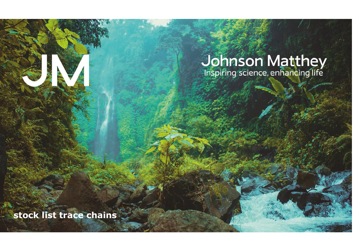# Johnson Matthey<br>Inspiring science, enhancing life

**stock list trace chains**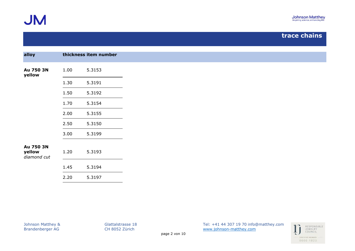

| alloy                 |      | thickness item number |
|-----------------------|------|-----------------------|
|                       |      |                       |
| Au 750 3N<br>yellow   | 1.00 | 5.3153                |
|                       | 1.30 | 5.3191                |
|                       | 1.50 | 5.3192                |
|                       | 1.70 | 5.3154                |
|                       | 2.00 | 5.3155                |
|                       | 2.50 | 5.3150                |
|                       | 3.00 | 5.3199                |
| Au 750 3N             |      |                       |
| yellow<br>diamond cut | 1.20 | 5.3193                |
|                       |      |                       |
|                       | 1.45 | 5.3194                |
|                       | 2.20 | 5.3197                |

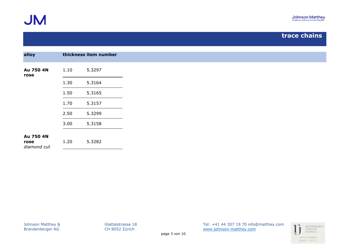

| alloy                            |      | thickness item number |
|----------------------------------|------|-----------------------|
| Au 750 4N<br>rose                | 1.10 | 5.3297                |
|                                  | 1.30 | 5.3164                |
|                                  | 1.50 | 5.3165                |
|                                  | 1.70 | 5.3157                |
|                                  | 2.50 | 5.3299                |
|                                  | 3.00 | 5.3158                |
| Au 750 4N<br>rose<br>diamond cut | 1.20 | 5.3282                |
|                                  |      |                       |

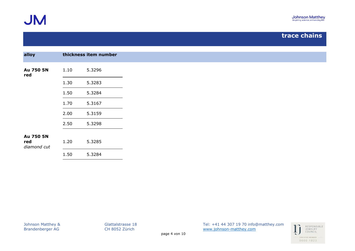

| alloy                           |      | thickness item number |
|---------------------------------|------|-----------------------|
| Au 750 5N<br>red                | 1.10 | 5.3296                |
|                                 | 1.30 | 5.3283                |
|                                 | 1.50 | 5.3284                |
|                                 | 1.70 | 5.3167                |
|                                 | 2.00 | 5.3159                |
|                                 | 2.50 | 5.3298                |
| Au 750 5N<br>red<br>diamond cut | 1.20 | 5.3285                |
|                                 | 1.50 | 5.3284                |
|                                 |      |                       |

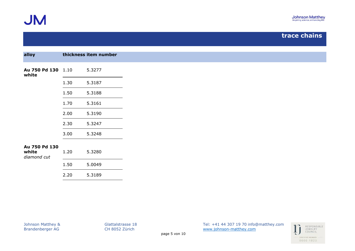

| alloy                                 |      | thickness item number |
|---------------------------------------|------|-----------------------|
| Au 750 Pd 130 1.10<br>white           |      | 5.3277                |
|                                       | 1.30 | 5.3187                |
|                                       | 1.50 | 5.3188                |
|                                       | 1.70 | 5.3161                |
|                                       | 2.00 | 5.3190                |
|                                       | 2.30 | 5.3247                |
|                                       | 3.00 | 5.3248                |
| Au 750 Pd 130<br>white<br>diamond cut | 1.20 | 5.3280                |
|                                       | 1.50 | 5.0049                |
|                                       | 2.20 | 5.3189                |

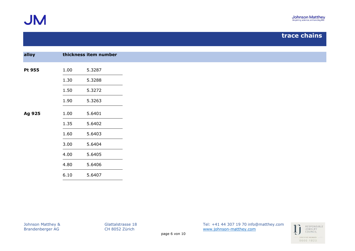

| alloy  |      | thickness item number |
|--------|------|-----------------------|
| Pt 955 | 1.00 | 5.3287                |
|        | 1.30 | 5.3288                |
|        | 1.50 | 5.3272                |
|        | 1.90 | 5.3263                |
| Ag 925 | 1.00 | 5.6401                |
|        | 1.35 | 5.6402                |
|        | 1.60 | 5.6403                |
|        | 3.00 | 5.6404                |
|        | 4.00 | 5.6405                |
|        | 4.80 | 5.6406                |
|        | 6.10 | 5.6407                |

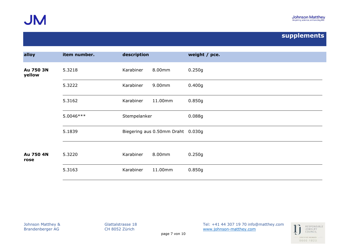

| alloy               | item number. | description                       |         | weight / pce. |
|---------------------|--------------|-----------------------------------|---------|---------------|
| Au 750 3N<br>yellow | 5.3218       | Karabiner                         | 8.00mm  | 0.250g        |
|                     | 5.3222       | Karabiner                         | 9.00mm  | 0.400g        |
|                     | 5.3162       | Karabiner                         | 11.00mm | 0.850g        |
|                     | 5.0046 ***   | Stempelanker                      |         | 0.088g        |
|                     | 5.1839       | Biegering aus 0.50mm Draht 0.030g |         |               |
| Au 750 4N<br>rose   | 5.3220       | Karabiner                         | 8.00mm  | 0.250g        |
|                     | 5.3163       | Karabiner                         | 11.00mm | 0.850g        |

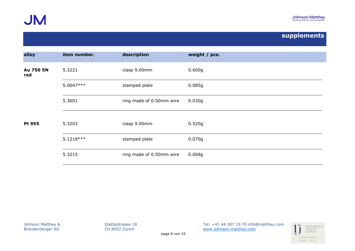

| alloy            | item number.                | description              | weight / pce. |
|------------------|-----------------------------|--------------------------|---------------|
| Au 750 5N<br>red | 5.3221                      | clasp 9.00mm             | 0.600g        |
|                  | 5.0047***                   | stamped plate            | 0.085g        |
|                  | 5.3601                      | ring made of 0.50mm wire | 0.030g        |
| Pt 955           | clasp 9.00mm<br>5.3203      |                          | 0.520g        |
|                  | 5.1218 ***<br>stamped plate |                          | 0.070g        |
|                  | 5.3215                      | ring made of 0.50mm wire | 0.068g        |

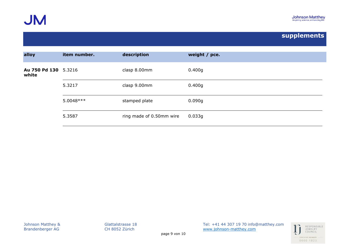

| item number.         | description              | weight / pce. |
|----------------------|--------------------------|---------------|
| Au 750 Pd 130 5.3216 | clasp 8.00mm             | 0.400g        |
| 5.3217               | clasp 9.00mm             | 0.400g        |
| 5.0048 ***           | stamped plate            | 0.090g        |
| 5.3587               | ring made of 0.50mm wire | 0.033g        |
|                      |                          |               |